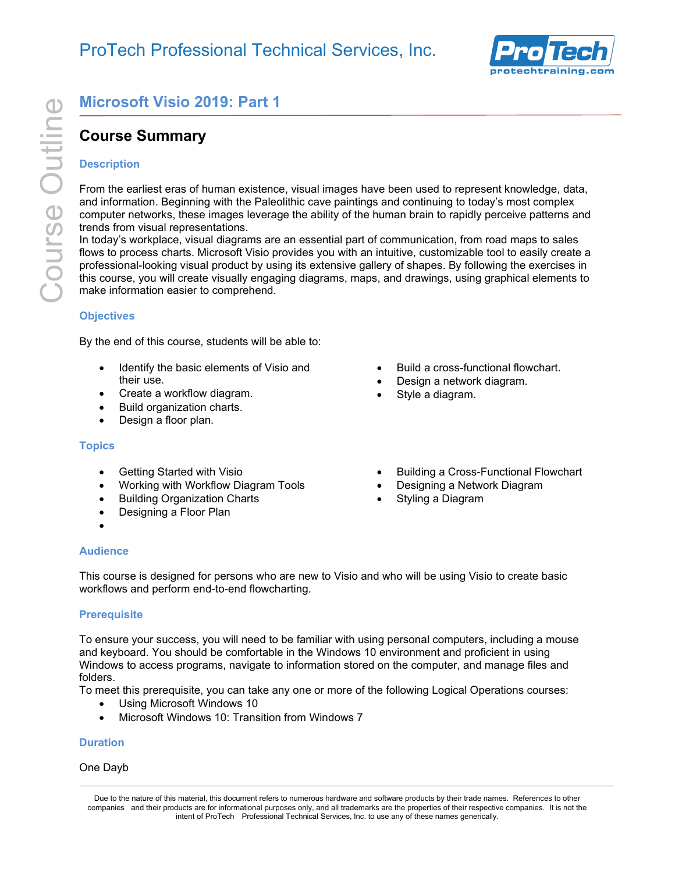

# **Course Summary**

### **Description**

From the earliest eras of human existence, visual images have been used to represent knowledge, data, and information. Beginning with the Paleolithic cave paintings and continuing to today's most complex computer networks, these images leverage the ability of the human brain to rapidly perceive patterns and trends from visual representations.

**Course Summary<br>
Course Summary**<br>
Description<br>
From the earliest eras of human existence<br>
and information. Beginning with the Palec<br>
computer networks, these images leverage<br> **Course Conserverage Supplementations**<br>
In toda In today's workplace, visual diagrams are an essential part of communication, from road maps to sales flows to process charts. Microsoft Visio provides you with an intuitive, customizable tool to easily create a professional-looking visual product by using its extensive gallery of shapes. By following the exercises in this course, you will create visually engaging diagrams, maps, and drawings, using graphical elements to make information easier to comprehend.

### **Objectives**

By the end of this course, students will be able to:

- Identify the basic elements of Visio and their use.
- Create a workflow diagram.
- Build organization charts.
- Design a floor plan.

### **Topics**

- Getting Started with Visio
- Working with Workflow Diagram Tools
- Building Organization Charts
- Designing a Floor Plan
- •

### **Audience**

This course is designed for persons who are new to Visio and who will be using Visio to create basic workflows and perform end-to-end flowcharting.

### **Prerequisite**

To ensure your success, you will need to be familiar with using personal computers, including a mouse and keyboard. You should be comfortable in the Windows 10 environment and proficient in using Windows to access programs, navigate to information stored on the computer, and manage files and folders.

To meet this prerequisite, you can take any one or more of the following Logical Operations courses:

- Using Microsoft Windows 10
- Microsoft Windows 10: Transition from Windows 7

### **Duration**

### One Dayb

Due to the nature of this material, this document refers to numerous hardware and software products by their trade names. References to other companies and their products are for informational purposes only, and all trademarks are the properties of their respective companies. It is not the intent of ProTech Professional Technical Services, Inc. to use any of these names generically.

- Build a cross-functional flowchart.
- Design a network diagram.
- Style a diagram.
- Building a Cross-Functional Flowchart
- Designing a Network Diagram
- Styling a Diagram